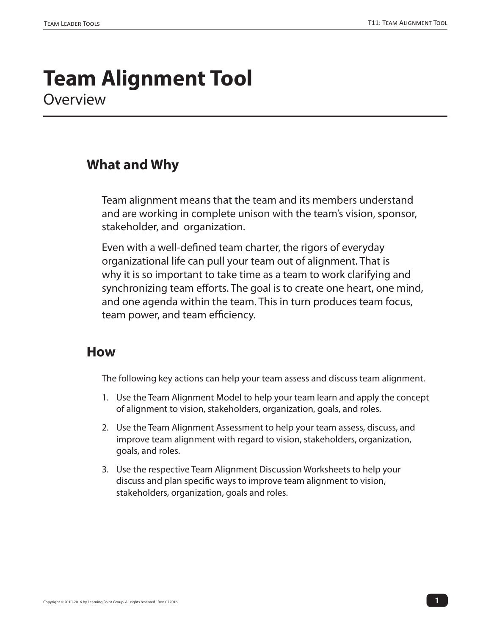# **Team Alignment Tool Overview**

# **What and Why**

Team alignment means that the team and its members understand and are working in complete unison with the team's vision, sponsor, stakeholder, and organization.

Even with a well-defined team charter, the rigors of everyday organizational life can pull your team out of alignment. That is why it is so important to take time as a team to work clarifying and synchronizing team efforts. The goal is to create one heart, one mind, and one agenda within the team. This in turn produces team focus, team power, and team efficiency.

#### **How**

The following key actions can help your team assess and discuss team alignment.

- 1. Use the Team Alignment Model to help your team learn and apply the concept of alignment to vision, stakeholders, organization, goals, and roles.
- 2. Use the Team Alignment Assessment to help your team assess, discuss, and improve team alignment with regard to vision, stakeholders, organization, goals, and roles.
- 3. Use the respective Team Alignment Discussion Worksheets to help your discuss and plan specific ways to improve team alignment to vision, stakeholders, organization, goals and roles.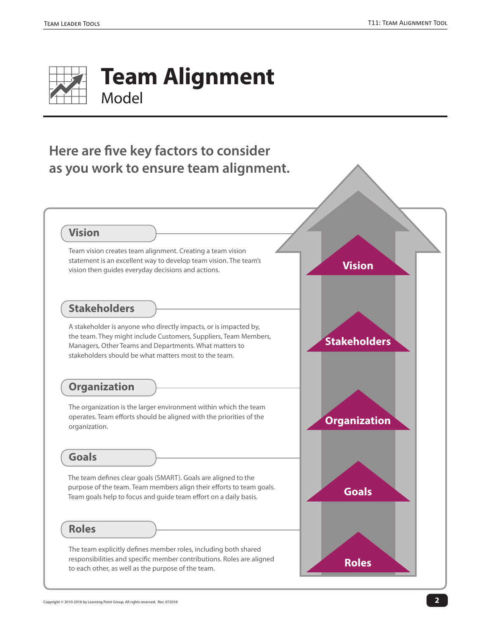

# **Here are five key factors to consider as you work to ensure team alignment.**



Team vision creates team alignment. Creating a team vision statement is an excellent way to develop team vision. The team's vision then guides everyday decisions and actions.

#### **Stakeholders**

A stakeholder is anyone who directly impacts, or is impacted by, the team. They might include Customers, Suppliers, Team Members, Managers, Other Teams and Departments. What matters to stakeholders should be what matters most to the team.

## **Organization**

The organization is the larger environment within which the team operates. Team efforts should be aligned with the priorities of the organization.

#### **Goals**

The team defines clear goals (SMART). Goals are aligned to the purpose of the team. Team members align their efforts to team goals. Team goals help to focus and guide team effort on a daily basis.

#### **Roles**

The team explicitly defines member roles, including both shared responsibilities and specific member contributions. Roles are aligned to each other, as well as the purpose of the team.

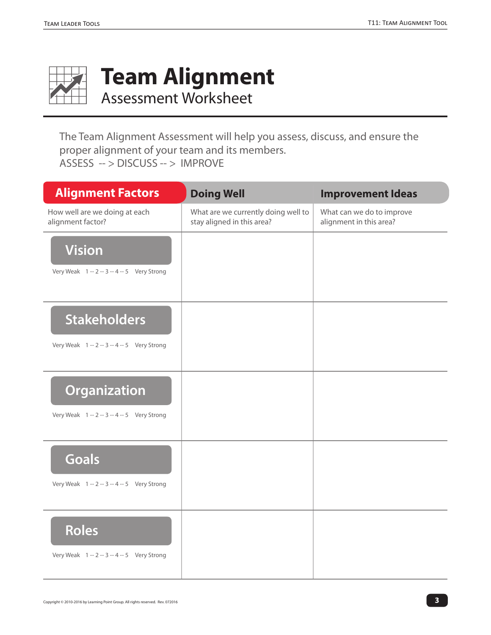

# **Team Alignment**

Assessment Worksheet

The Team Alignment Assessment will help you assess, discuss, and ensure the proper alignment of your team and its members. ASSESS -- > DISCUSS -- > IMPROVE

| <b>Alignment Factors</b>                           | <b>Doing Well</b>                                                 | <b>Improvement Ideas</b>                             |
|----------------------------------------------------|-------------------------------------------------------------------|------------------------------------------------------|
| How well are we doing at each<br>alignment factor? | What are we currently doing well to<br>stay aligned in this area? | What can we do to improve<br>alignment in this area? |
| <b>Vision</b>                                      |                                                                   |                                                      |
| Very Weak 1 -- 2 -- 3 -- 4 -- 5 Very Strong        |                                                                   |                                                      |
| <b>Stakeholders</b>                                |                                                                   |                                                      |
| Very Weak 1 -- 2 -- 3 -- 4 -- 5 Very Strong        |                                                                   |                                                      |
| <b>Organization</b>                                |                                                                   |                                                      |
| Very Weak 1 -- 2 -- 3 -- 4 -- 5 Very Strong        |                                                                   |                                                      |
| <b>Goals</b>                                       |                                                                   |                                                      |
| Very Weak 1 -- 2 -- 3 -- 4 -- 5 Very Strong        |                                                                   |                                                      |
| <b>Roles</b>                                       |                                                                   |                                                      |
| Very Weak 1 -- 2 -- 3 -- 4 -- 5 Very Strong        |                                                                   |                                                      |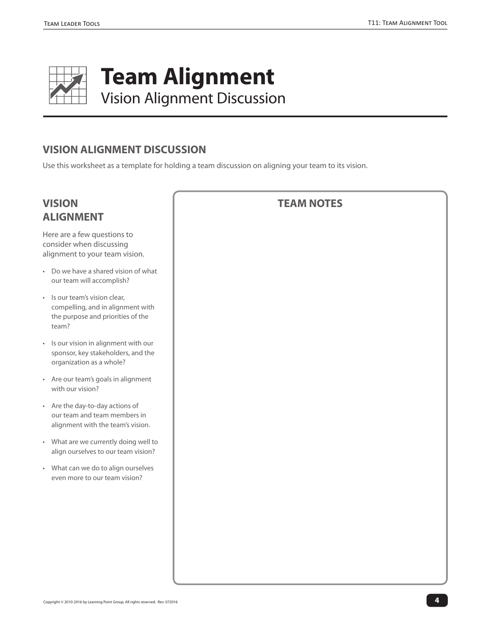

### **VISION ALIGNMENT DISCUSSION**

Use this worksheet as a template for holding a team discussion on aligning your team to its vision.

# **VISION ALIGNMENT**

Here are a few questions to consider when discussing alignment to your team vision.

- Do we have a shared vision of what our team will accomplish?
- Is our team's vision clear, compelling, and in alignment with the purpose and priorities of the team?
- Is our vision in alignment with our sponsor, key stakeholders, and the organization as a whole?
- Are our team's goals in alignment with our vision?
- Are the day-to-day actions of our team and team members in alignment with the team's vision.
- What are we currently doing well to align ourselves to our team vision?
- What can we do to align ourselves even more to our team vision?

| <b>TEAM NOTES</b> |  |  |  |
|-------------------|--|--|--|
|                   |  |  |  |
|                   |  |  |  |
|                   |  |  |  |
|                   |  |  |  |
|                   |  |  |  |
|                   |  |  |  |
|                   |  |  |  |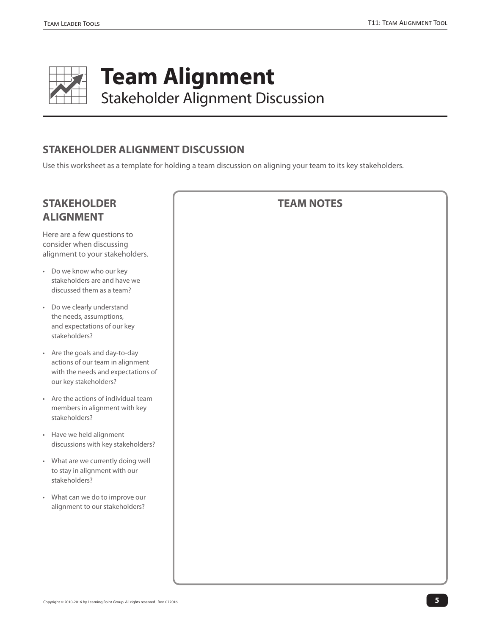

## **STAKEHOLDER ALIGNMENT DISCUSSION**

Use this worksheet as a template for holding a team discussion on aligning your team to its key stakeholders.

# **STAKEHOLDE ALIGNMENT**

Here are a few ques consider when disc alignment to your s

- Do we know who a stakeholders are a discussed them as
- Do we clearly unde the needs, assump and expectations of stakeholders?
- $\cdot$  Are the goals and actions of our tean with the needs and our key stakeholde
- Are the actions of members in alignn stakeholders?
- Have we held align discussions with ke
- What are we current to stay in alignment stakeholders?
- What can we do to alignment to our st

| ΞR                                                        | <b>TEAM NOTES</b> |
|-----------------------------------------------------------|-------------------|
| tions to<br>ussing<br>takeholders.                        |                   |
| our key<br>nd have we<br>a team?                          |                   |
| erstand<br>tions,<br>of our key                           |                   |
| day-to-day<br>n in alignment<br>d expectations of<br>ers? |                   |
| individual team<br>nent with key                          |                   |
| ment<br>ey stakeholders?                                  |                   |
| ntly doing well<br>nt with our                            |                   |
| improve our<br>takeholders?                               |                   |
|                                                           |                   |
|                                                           |                   |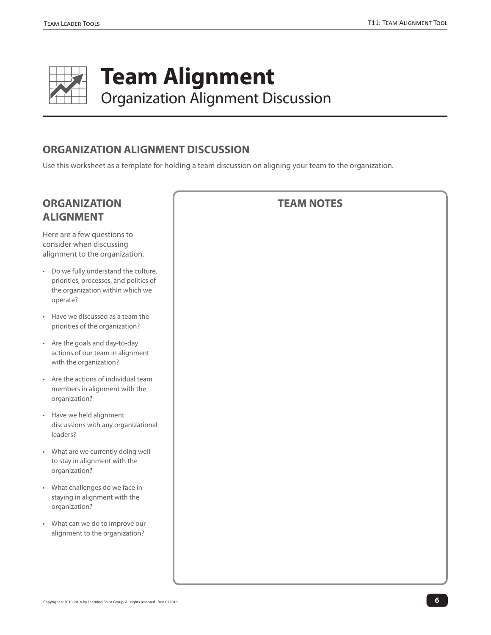

#### **ORGANIZATION ALIGNMENT DISCUSSION**

Use this worksheet as a template for holding a team discussion on aligning your team to the organization.

# **ORGANIZAT ALIGNMENT**

Here are a few que consider when dis alignment to the

- Do we fully under priorities, proces the organization operate?
- Have we discuss priorities of the c
- Are the goals and actions of our tea with the organiza
- Are the actions of members in align organization?
- Have we held align discussions with leaders?
- What are we curr to stay in alignm organization?
- What challenges staying in alignm organization?
- What can we do alignment to the

| <b>TON</b><br>г.                                                | <b>TEAM NOTES</b> |
|-----------------------------------------------------------------|-------------------|
| estions to<br>scussing<br>organization.                         |                   |
| erstand the culture,<br>ses, and politics of<br>within which we |                   |
| ed as a team the<br>prganization?                               |                   |
| d day-to-day<br>am in alignment<br>ation?                       |                   |
| of individual team<br>nment with the                            |                   |
| gnment<br>any organizational                                    |                   |
| rently doing well<br>ent with the                               |                   |
| do we face in<br>ent with the                                   |                   |
| to improve our<br>organization?                                 |                   |
|                                                                 |                   |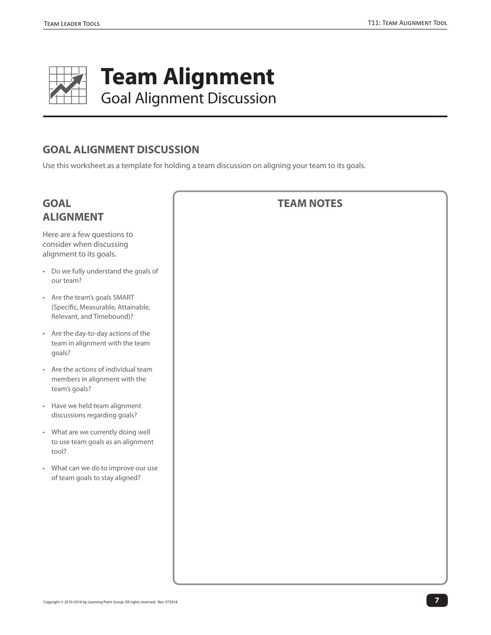

#### **GOAL ALIGNMENT DISCUSSION**

Use this worksheet as a template for holding a team discussion on aligning your team to its goals.

# **GOAL ALIGNMENT**

Here are a few questions to consider when discussing alignment to its goals.

- Do we fully understand the goals of our team?
- Are the team's goals SMART (Specific, Measurable, Attainable, Relevant, and Timebound)?
- Are the day-to-day actions of the team in alignment with the team goals?
- Are the actions of individual team members in alignment with the team's goals?
- Have we held team alignment discussions regarding goals?
- What are we currently doing well to use team goals as an alignment tool?
- What can we do to improve our use of team goals to stay aligned?

| <b>TEAM NOTES</b> |  |  |  |  |  |
|-------------------|--|--|--|--|--|
|                   |  |  |  |  |  |
|                   |  |  |  |  |  |
|                   |  |  |  |  |  |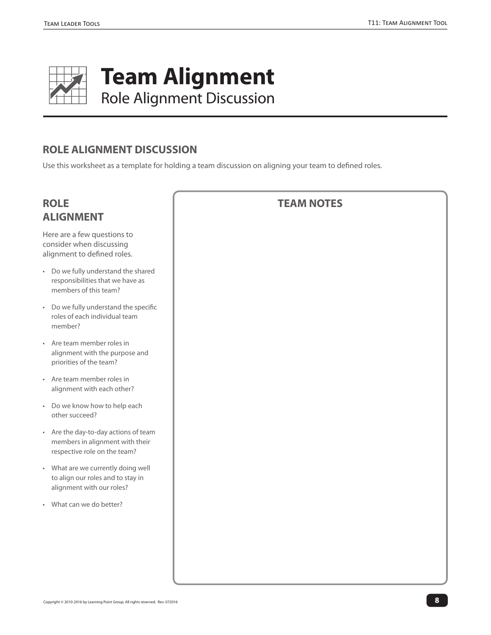

### **ROLE ALIGNMENT DISCUSSION**

Use this worksheet as a template for holding a team discussion on aligning your team to defined roles.

# **ROLE ALIGNMEN**

Here are a few o consider when alignment to de

- $\cdot$  Do we fully und responsibilitie members of th
- Do we fully un roles of each in member?
- Are team men alignment with priorities of th
- Are team men alignment wit
- Do we know h other succeed?
- Are the day-to members in al respective role
- What are we  $c$ to align our ro alignment wit
- What can we d

|                                                              | <b>TEAM NOTES</b> |
|--------------------------------------------------------------|-------------------|
| ИT                                                           |                   |
| questions to<br>discussing<br>efined roles.                  |                   |
| derstand the shared<br>s that we have as<br>nis team?        |                   |
| derstand the specific<br>ndividual team                      |                   |
| nber roles in<br>h the purpose and<br>e team?                |                   |
| nber roles in<br>h each other?                               |                   |
| ow to help each<br>!?                                        |                   |
| day actions of team<br>lignment with their<br>e on the team? |                   |
| urrently doing well<br>les and to stay in<br>h our roles?    |                   |
| do better?                                                   |                   |
|                                                              |                   |
|                                                              |                   |
|                                                              |                   |